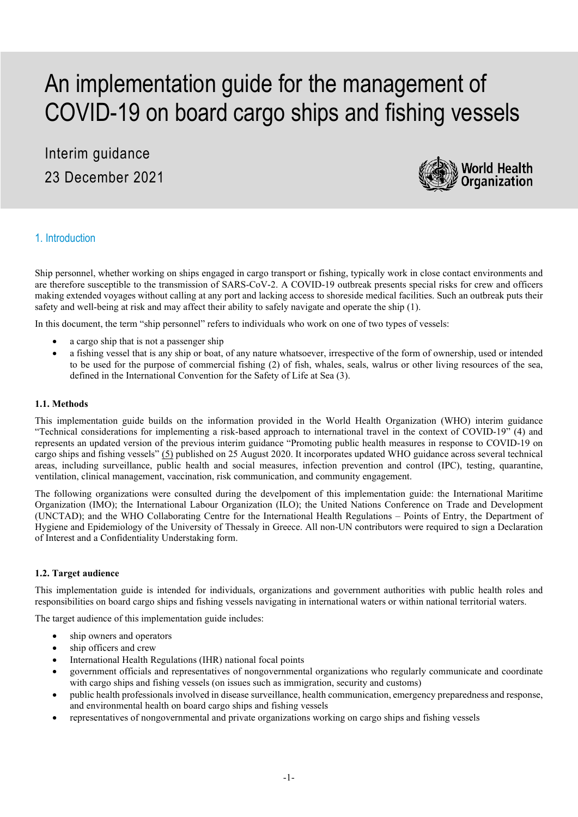# An implementation guide for the management of COVID-19 on board cargo ships and fishing vessels

# Interim guidance 23 December 2021



# 1. Introduction

Ship personnel, whether working on ships engaged in cargo transport or fishing, typically work in close contact environments and are therefore susceptible to the transmission of SARS-CoV-2. A COVID-19 outbreak presents special risks for crew and officers making extended voyages without calling at any port and lacking access to shoreside medical facilities. Such an outbreak puts their safety and well-being at risk and may affect their ability to safely navigate and operate the ship (1).

In this document, the term "ship personnel" refers to individuals who work on one of two types of vessels:

- a cargo ship that is not a passenger ship
- a fishing vessel that is any ship or boat, of any nature whatsoever, irrespective of the form of ownership, used or intended to be used for the purpose of commercial fishing (2) of fish, whales, seals, walrus or other living resources of the sea, defined in the International Convention for the Safety of Life at Sea (3).

#### **1.1. Methods**

This implementation guide builds on the information provided in the World Health Organization (WHO) interim guidance "Technical considerations for implementing a risk-based approach to international travel in the context of COVID-19" (4) and represents an updated version of the previous interim guidance "Promoting public health measures in response to COVID-19 on cargo ships and fishing vessels" (5) published on 25 August 2020. It incorporates updated WHO guidance across several technical areas, including surveillance, public health and social measures, infection prevention and control (IPC), testing, quarantine, ventilation, clinical management, vaccination, risk communication, and community engagement.

The following organizations were consulted during the develpoment of this implementation guide: the International Maritime Organization (IMO); the International Labour Organization (ILO); the United Nations Conference on Trade and Development (UNCTAD); and the WHO Collaborating Centre for the International Health Regulations – Points of Entry, the Department of Hygiene and Epidemiology of the University of Thessaly in Greece. All non-UN contributors were required to sign a Declaration of Interest and a Confidentiality Understaking form.

# **1.2. Target audience**

This implementation guide is intended for individuals, organizations and government authorities with public health roles and responsibilities on board cargo ships and fishing vessels navigating in international waters or within national territorial waters.

The target audience of this implementation guide includes:

- ship owners and operators
- ship officers and crew
- International Health Regulations (IHR) national focal points
- government officials and representatives of nongovernmental organizations who regularly communicate and coordinate with cargo ships and fishing vessels (on issues such as immigration, security and customs)
- public health professionals involved in disease surveillance, health communication, emergency preparedness and response, and environmental health on board cargo ships and fishing vessels
- representatives of nongovernmental and private organizations working on cargo ships and fishing vessels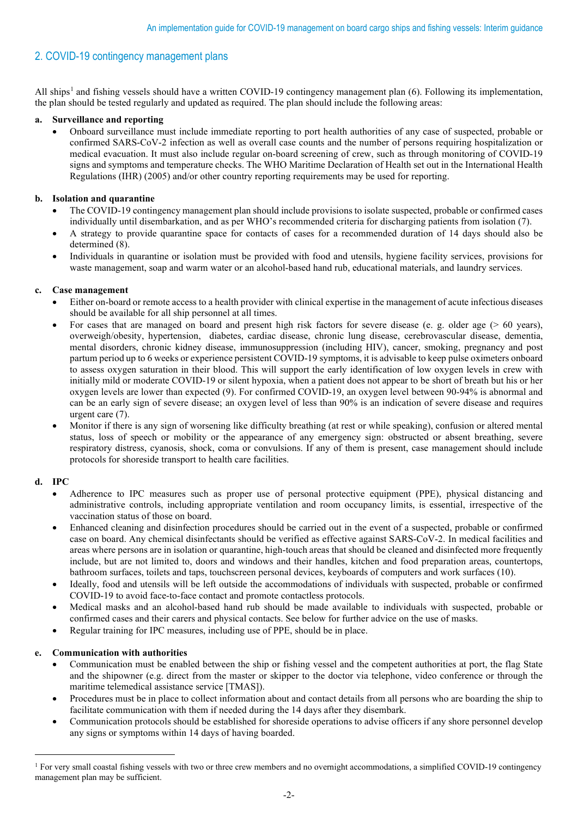# 2. COVID-19 contingency management plans

All ships<sup>[1](#page-1-0)</sup> and fishing vessels should have a written COVID-19 contingency management plan  $(6)$ . Following its implementation, the plan should be tested regularly and updated as required. The plan should include the following areas:

# **a. Surveillance and reporting**

• Onboard surveillance must include immediate reporting to port health authorities of any case of suspected, probable or confirmed SARS-CoV-2 infection as well as overall case counts and the number of persons requiring hospitalization or medical evacuation. It must also include regular on-board screening of crew, such as through monitoring of COVID-19 signs and symptoms and temperature checks. The WHO Maritime Declaration of Health set out in the International Health Regulations (IHR) (2005) and/or other country reporting requirements may be used for reporting.

# **b. Isolation and quarantine**

- The COVID-19 contingency management plan should include provisions to isolate suspected, probable or confirmed cases individually until disembarkation, and as per WHO's recommended criteria for discharging patients from isolation (7).
- A strategy to provide quarantine space for contacts of cases for a recommended duration of 14 days should also be determined (8).
- Individuals in quarantine or isolation must be provided with food and utensils, hygiene facility services, provisions for waste management, soap and warm water or an alcohol-based hand rub, educational materials, and laundry services.

# **c. Case management**

- Either on-board or remote access to a health provider with clinical expertise in the management of acute infectious diseases should be available for all ship personnel at all times.
- For cases that are managed on board and present high risk factors for severe disease (e. g. older age  $(> 60 \text{ years})$ , overweigh/obesity, hypertension, diabetes, cardiac disease, chronic lung disease, cerebrovascular disease, dementia, mental disorders, chronic kidney disease, immunosuppression (including HIV), cancer, smoking, pregnancy and post partum period up to 6 weeks or experience persistent COVID-19 symptoms, it is advisable to keep pulse oximeters onboard to assess oxygen saturation in their blood. This will support the early identification of low oxygen levels in crew with initially mild or moderate COVID-19 or silent hypoxia, when a patient does not appear to be short of breath but his or her oxygen levels are lower than expected (9). For confirmed COVID-19, an oxygen level between 90-94% is abnormal and can be an early sign of severe disease; an oxygen level of less than 90% is an indication of severe disease and requires urgent care (7).
- Monitor if there is any sign of worsening like difficulty breathing (at rest or while speaking), confusion or altered mental status, loss of speech or mobility or the appearance of any emergency sign: obstructed or absent breathing, severe respiratory distress, cyanosis, shock, coma or convulsions. If any of them is present, case management should include protocols for shoreside transport to health care facilities.

# **d. IPC**

- Adherence to IPC measures such as proper use of personal protective equipment (PPE), physical distancing and administrative controls, including appropriate ventilation and room occupancy limits, is essential, irrespective of the vaccination status of those on board.
- Enhanced cleaning and disinfection procedures should be carried out in the event of a suspected, probable or confirmed case on board. Any chemical disinfectants should be verified as effective against SARS-CoV-2. In medical facilities and areas where persons are in isolation or quarantine, high-touch areas that should be cleaned and disinfected more frequently include, but are not limited to, doors and windows and their handles, kitchen and food preparation areas, countertops, bathroom surfaces, toilets and taps, touchscreen personal devices, keyboards of computers and work surfaces (10).
- Ideally, food and utensils will be left outside the accommodations of individuals with suspected, probable or confirmed COVID-19 to avoid face-to-face contact and promote contactless protocols.
- Medical masks and an alcohol-based hand rub should be made available to individuals with suspected, probable or confirmed cases and their carers and physical contacts. See below for further advice on the use of masks.
- Regular training for IPC measures, including use of PPE, should be in place.

# **e. Communication with authorities**

- Communication must be enabled between the ship or fishing vessel and the competent authorities at port, the flag State and the shipowner (e.g. direct from the master or skipper to the doctor via telephone, video conference or through the maritime telemedical assistance service [TMAS]).
- Procedures must be in place to collect information about and contact details from all persons who are boarding the ship to facilitate communication with them if needed during the 14 days after they disembark.
- Communication protocols should be established for shoreside operations to advise officers if any shore personnel develop any signs or symptoms within 14 days of having boarded.

<span id="page-1-0"></span><sup>&</sup>lt;sup>1</sup> For very small coastal fishing vessels with two or three crew members and no overnight accommodations, a simplified COVID-19 contingency management plan may be sufficient.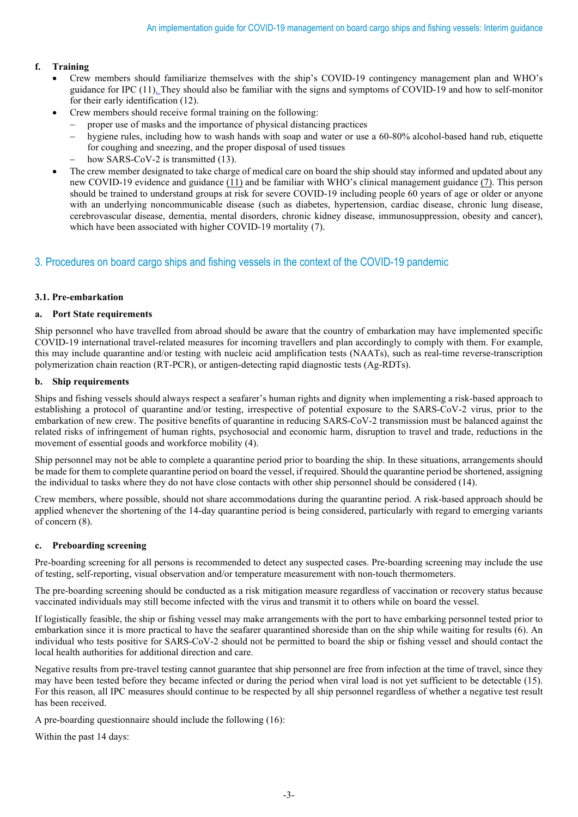# **f. Training**

- Crew members should familiarize themselves with the ship's COVID-19 contingency management plan and WHO's guidance for IPC (11). They should also be familiar with the signs and symptoms of COVID-19 and how to self-monitor for their early identification (12).
- Crew members should receive formal training on the following:
	- proper use of masks and the importance of physical distancing practices
	- hygiene rules, including how to wash hands with soap and water or use a 60-80% alcohol-based hand rub, etiquette for coughing and sneezing, and the proper disposal of used tissues
	- how SARS-CoV-2 is transmitted (13).
- The crew member designated to take charge of medical care on board the ship should stay informed and updated about any new COVID-19 evidence and guidance (11) and be familiar with WHO's clinical management guidance (7). This person should be trained to understand groups at risk for severe COVID-19 including people 60 years of age or older or anyone with an underlying noncommunicable disease (such as diabetes, hypertension, cardiac disease, chronic lung disease, cerebrovascular disease, dementia, mental disorders, chronic kidney disease, immunosuppression, obesity and cancer), which have been associated with higher COVID-19 mortality (7).

# 3. Procedures on board cargo ships and fishing vessels in the context of the COVID-19 pandemic

# **3.1. Pre-embarkation**

# **a. Port State requirements**

Ship personnel who have travelled from abroad should be aware that the country of embarkation may have implemented specific COVID-19 international travel-related measures for incoming travellers and plan accordingly to comply with them. For example, this may include quarantine and/or testing with nucleic acid amplification tests (NAATs), such as real-time reverse-transcription polymerization chain reaction (RT-PCR), or antigen-detecting rapid diagnostic tests (Ag-RDTs).

# **b. Ship requirements**

Ships and fishing vessels should always respect a seafarer's human rights and dignity when implementing a risk-based approach to establishing a protocol of quarantine and/or testing, irrespective of potential exposure to the SARS-CoV-2 virus, prior to the embarkation of new crew. The positive benefits of quarantine in reducing SARS-CoV-2 transmission must be balanced against the related risks of infringement of human rights, psychosocial and economic harm, disruption to travel and trade, reductions in the movement of essential goods and workforce mobility (4).

Ship personnel may not be able to complete a quarantine period prior to boarding the ship. In these situations, arrangements should be made for them to complete quarantine period on board the vessel, if required. Should the quarantine period be shortened, assigning the individual to tasks where they do not have close contacts with other ship personnel should be considered (14).

Crew members, where possible, should not share accommodations during the quarantine period. A risk-based approach should be applied whenever the shortening of the 14-day quarantine period is being considered, particularly with regard to emerging variants of concern (8).

# **c. Preboarding screening**

Pre-boarding screening for all persons is recommended to detect any suspected cases. Pre-boarding screening may include the use of testing, self-reporting, visual observation and/or temperature measurement with non-touch thermometers.

The pre-boarding screening should be conducted as a risk mitigation measure regardless of vaccination or recovery status because vaccinated individuals may still become infected with the virus and transmit it to others while on board the vessel.

If logistically feasible, the ship or fishing vessel may make arrangements with the port to have embarking personnel tested prior to embarkation since it is more practical to have the seafarer quarantined shoreside than on the ship while waiting for results (6). An individual who tests positive for SARS-CoV-2 should not be permitted to board the ship or fishing vessel and should contact the local health authorities for additional direction and care.

Negative results from pre-travel testing cannot guarantee that ship personnel are free from infection at the time of travel, since they may have been tested before they became infected or during the period when viral load is not yet sufficient to be detectable (15). For this reason, all IPC measures should continue to be respected by all ship personnel regardless of whether a negative test result has been received.

A pre-boarding questionnaire should include the following (16):

Within the past 14 days: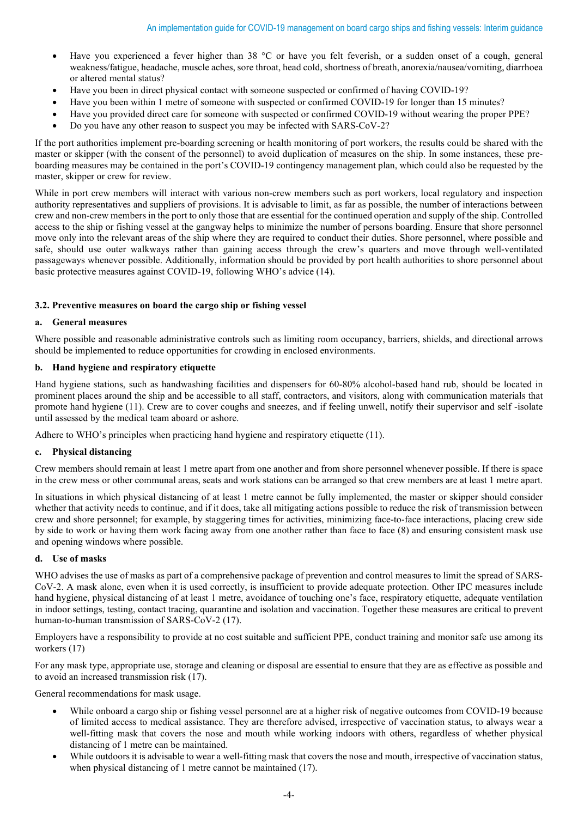- Have you experienced a fever higher than 38 °C or have you felt feverish, or a sudden onset of a cough, general weakness/fatigue, headache, muscle aches, sore throat, head cold, shortness of breath, anorexia/nausea/vomiting, diarrhoea or altered mental status?
- Have you been in direct physical contact with someone suspected or confirmed of having COVID-19?
- Have you been within 1 metre of someone with suspected or confirmed COVID-19 for longer than 15 minutes?
- Have you provided direct care for someone with suspected or confirmed COVID-19 without wearing the proper PPE?
- Do you have any other reason to suspect you may be infected with SARS-CoV-2?

If the port authorities implement pre-boarding screening or health monitoring of port workers, the results could be shared with the master or skipper (with the consent of the personnel) to avoid duplication of measures on the ship. In some instances, these preboarding measures may be contained in the port's COVID-19 contingency management plan, which could also be requested by the master, skipper or crew for review.

While in port crew members will interact with various non-crew members such as port workers, local regulatory and inspection authority representatives and suppliers of provisions. It is advisable to limit, as far as possible, the number of interactions between crew and non-crew members in the port to only those that are essential for the continued operation and supply of the ship. Controlled access to the ship or fishing vessel at the gangway helps to minimize the number of persons boarding. Ensure that shore personnel move only into the relevant areas of the ship where they are required to conduct their duties. Shore personnel, where possible and safe, should use outer walkways rather than gaining access through the crew's quarters and move through well-ventilated passageways whenever possible. Additionally, information should be provided by port health authorities to shore personnel about basic protective measures against COVID-19, following WHO's advice (14).

# **3.2. Preventive measures on board the cargo ship or fishing vessel**

# **a. General measures**

Where possible and reasonable administrative controls such as limiting room occupancy, barriers, shields, and directional arrows should be implemented to reduce opportunities for crowding in enclosed environments.

# **b. Hand hygiene and respiratory etiquette**

Hand hygiene stations, such as handwashing facilities and dispensers for 60-80% alcohol-based hand rub, should be located in prominent places around the ship and be accessible to all staff, contractors, and visitors, along with communication materials that promote hand hygiene (11). Crew are to cover coughs and sneezes, and if feeling unwell, notify their supervisor and self -isolate until assessed by the medical team aboard or ashore.

Adhere to WHO's principles when practicing hand hygiene and respiratory etiquette (11).

# **c. Physical distancing**

Crew members should remain at least 1 metre apart from one another and from shore personnel whenever possible. If there is space in the crew mess or other communal areas, seats and work stations can be arranged so that crew members are at least 1 metre apart.

In situations in which physical distancing of at least 1 metre cannot be fully implemented, the master or skipper should consider whether that activity needs to continue, and if it does, take all mitigating actions possible to reduce the risk of transmission between crew and shore personnel; for example, by staggering times for activities, minimizing face-to-face interactions, placing crew side by side to work or having them work facing away from one another rather than face to face [\(8\)](about:blank) and ensuring consistent mask use and opening windows where possible.

#### **d. Use of masks**

WHO advises the use of masks as part of a comprehensive package of prevention and control measures to limit the spread of SARS-CoV-2. A mask alone, even when it is used correctly, is insufficient to provide adequate protection. Other IPC measures include hand hygiene, physical distancing of at least 1 metre, avoidance of touching one's face, respiratory etiquette, adequate ventilation in indoor settings, testing, contact tracing, quarantine and isolation and vaccination. Together these measures are critical to prevent human-to-human transmission of SARS-CoV-2 (17).

Employers have a responsibility to provide at no cost suitable and sufficient PPE, conduct training and monitor safe use among its workers (17)

For any mask type, appropriate use, storage and cleaning or disposal are essential to ensure that they are as effective as possible and to avoid an increased transmission risk (17).

General recommendations for mask usage.

- While onboard a cargo ship or fishing vessel personnel are at a higher risk of negative outcomes from COVID-19 because of limited access to medical assistance. They are therefore advised, irrespective of vaccination status, to always wear a well-fitting mask that covers the nose and mouth while working indoors with others, regardless of whether physical distancing of 1 metre can be maintained.
- While outdoors it is advisable to wear a well-fitting mask that covers the nose and mouth, irrespective of vaccination status, when physical distancing of 1 metre cannot be maintained (17).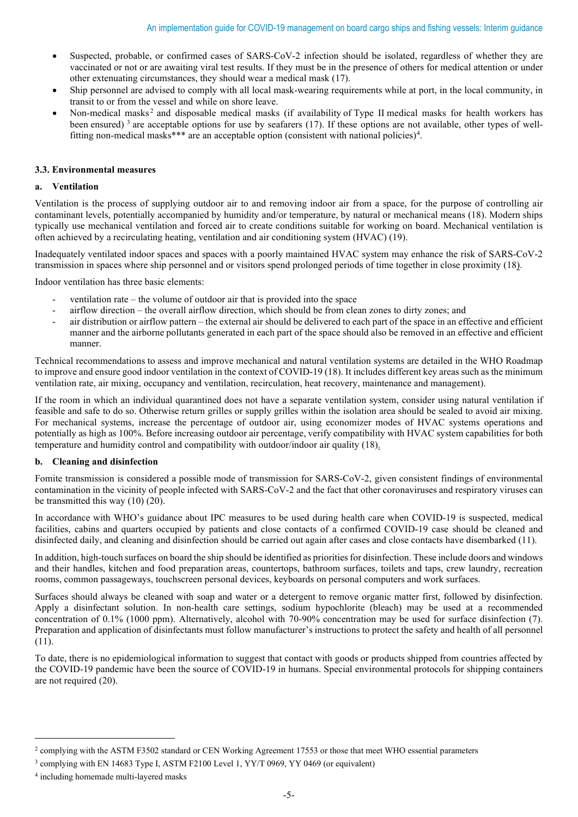- Suspected, probable, or confirmed cases of SARS-CoV-2 infection should be isolated, regardless of whether they are vaccinated or not or are awaiting viral test results. If they must be in the presence of others for medical attention or under other extenuating circumstances, they should wear a medical mask (17).
- Ship personnel are advised to comply with all local mask-wearing requirements while at port, in the local community, in transit to or from the vessel and while on shore leave.
- Non-medical masks<sup>[2](#page-4-0)</sup> and disposable medical masks (if availability of Type II medical masks for health workers has been ensured)<sup>[3](#page-4-1)</sup> are acceptable options for use by seafarers (17). If these options are not available, other types of well-fitting non-medical masks\*\*\* are an acceptable option (consistent with national policies)<sup>[4](#page-4-2)</sup>.

# **3.3. Environmental measures**

# **a. Ventilation**

Ventilation is the process of supplying outdoor air to and removing indoor air from a space, for the purpose of controlling air contaminant levels, potentially accompanied by humidity and/or temperature, by natural or mechanical means (18). Modern ships typically use mechanical ventilation and forced air to create conditions suitable for working on board. Mechanical ventilation is often achieved by a recirculating heating, ventilation and air conditioning system (HVAC) (19).

Inadequately ventilated indoor spaces and spaces with a poorly maintained HVAC system may enhance the risk of SARS-CoV-2 transmission in spaces where ship personnel and or visitors spend prolonged periods of time together in close proximity [\(18\).](about:blank)

Indoor ventilation has three basic elements:

- ventilation rate the volume of outdoor air that is provided into the space
- airflow direction the overall airflow direction, which should be from clean zones to dirty zones; and
- air distribution or airflow pattern the external air should be delivered to each part of the space in an effective and efficient manner and the airborne pollutants generated in each part of the space should also be removed in an effective and efficient manner.

Technical recommendations to assess and improve mechanical and natural ventilation systems are detailed in the WHO Roadmap to improve and ensure good indoor ventilation in the context of COVID-19 (18). It includes different key areas such as the minimum ventilation rate, air mixing, occupancy and ventilation, recirculation, heat recovery, maintenance and management).

If the room in which an individual quarantined does not have a separate ventilation system, consider using natural ventilation if feasible and safe to do so. Otherwise return grilles or supply grilles within the isolation area should be sealed to avoid air mixing. For mechanical systems, increase the percentage of outdoor air, using economizer modes of HVAC systems operations and potentially as high as 100%. Before increasing outdoor air percentage, verify compatibility with HVAC system capabilities for both temperature and humidity control and compatibility with outdoor/indoor air quality (18).

# **b. Cleaning and disinfection**

Fomite transmission is considered a possible mode of transmission for SARS-CoV-2, given consistent findings of environmental contamination in the vicinity of people infected with SARS-CoV-2 and the fact that other coronaviruses and respiratory viruses can be transmitted this way (10) (20).

In accordance with WHO's guidance about IPC measures to be used during health care when COVID-19 is suspected, medical facilities, cabins and quarters occupied by patients and close contacts of a confirmed COVID-19 case should be cleaned and disinfected daily, and cleaning and disinfection should be carried out again after cases and close contacts have disembarked (11).

In addition, high-touch surfaces on board the ship should be identified as priorities for disinfection. These include doors and windows and their handles, kitchen and food preparation areas, countertops, bathroom surfaces, toilets and taps, crew laundry, recreation rooms, common passageways, touchscreen personal devices, keyboards on personal computers and work surfaces.

Surfaces should always be cleaned with soap and water or a detergent to remove organic matter first, followed by disinfection. Apply a disinfectant solution. In non-health care settings, sodium hypochlorite (bleach) may be used at a recommended concentration of 0.1% (1000 ppm). Alternatively, alcohol with 70-90% concentration may be used for surface disinfection (7). Preparation and application of disinfectants must follow manufacturer's instructions to protect the safety and health of all personnel (11).

To date, there is no epidemiological information to suggest that contact with goods or products shipped from countries affected by the COVID-19 pandemic have been the source of COVID-19 in humans. Special environmental protocols for shipping containers are not required (20).

<span id="page-4-0"></span><sup>&</sup>lt;sup>2</sup> complying with the ASTM F3502 standard or CEN Working Agreement 17553 or those that meet WHO essential parameters

<span id="page-4-1"></span><sup>3</sup> complying with EN 14683 Type I, ASTM F2100 Level 1, YY/T 0969, YY 0469 (or equivalent)

<span id="page-4-2"></span><sup>4</sup> including homemade multi-layered masks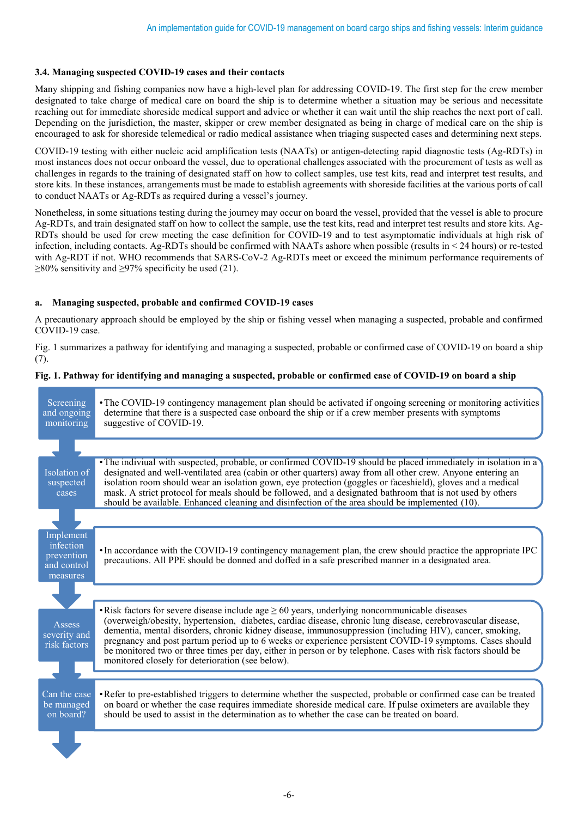# **3.4. Managing suspected COVID-19 cases and their contacts**

Many shipping and fishing companies now have a high-level plan for addressing COVID-19. The first step for the crew member designated to take charge of medical care on board the ship is to determine whether a situation may be serious and necessitate reaching out for immediate shoreside medical support and advice or whether it can wait until the ship reaches the next port of call. Depending on the jurisdiction, the master, skipper or crew member designated as being in charge of medical care on the ship is encouraged to ask for shoreside telemedical or radio medical assistance when triaging suspected cases and determining next steps.

COVID-19 testing with either nucleic acid amplification tests (NAATs) or antigen-detecting rapid diagnostic tests (Ag-RDTs) in most instances does not occur onboard the vessel, due to operational challenges associated with the procurement of tests as well as challenges in regards to the training of designated staff on how to collect samples, use test kits, read and interpret test results, and store kits. In these instances, arrangements must be made to establish agreements with shoreside facilities at the various ports of call to conduct NAATs or Ag-RDTs as required during a vessel's journey.

Nonetheless, in some situations testing during the journey may occur on board the vessel, provided that the vessel is able to procure Ag-RDTs, and train designated staff on how to collect the sample, use the test kits, read and interpret test results and store kits. Ag-RDTs should be used for crew meeting the case definition for COVID-19 and to test asymptomatic individuals at high risk of infection, including contacts. Ag-RDTs should be confirmed with NAATs ashore when possible (results in < 24 hours) or re-tested with Ag-RDT if not. WHO recommends that SARS-CoV-2 Ag-RDTs meet or exceed the minimum performance requirements of  $\geq$ 80% sensitivity and  $\geq$ 97% specificity be used (21).

# **a. Managing suspected, probable and confirmed COVID-19 cases**

A precautionary approach should be employed by the ship or fishing vessel when managing a suspected, probable and confirmed COVID-19 case.

Fig. 1 summarizes a pathway for identifying and managing a suspected, probable or confirmed case of COVID-19 on board a ship (7).

# **Fig. 1. Pathway for identifying and managing a suspected, probable or confirmed case of COVID-19 on board a ship**

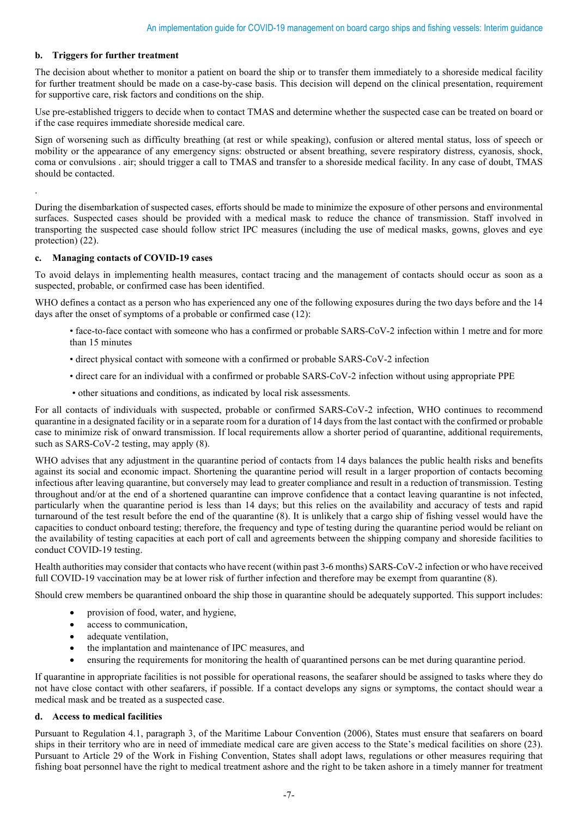# **b. Triggers for further treatment**

The decision about whether to monitor a patient on board the ship or to transfer them immediately to a shoreside medical facility for further treatment should be made on a case-by-case basis. This decision will depend on the clinical presentation, requirement for supportive care, risk factors and conditions on the ship.

Use pre-established triggers to decide when to contact TMAS and determine whether the suspected case can be treated on board or if the case requires immediate shoreside medical care.

Sign of worsening such as difficulty breathing (at rest or while speaking), confusion or altered mental status, loss of speech or mobility or the appearance of any emergency signs: obstructed or absent breathing, severe respiratory distress, cyanosis, shock, coma or convulsions . air; should trigger a call to TMAS and transfer to a shoreside medical facility. In any case of doubt, TMAS should be contacted.

.

During the disembarkation of suspected cases, efforts should be made to minimize the exposure of other persons and environmental surfaces. Suspected cases should be provided with a medical mask to reduce the chance of transmission. Staff involved in transporting the suspected case should follow strict IPC measures (including the use of medical masks, gowns, gloves and eye protection) (22).

# **c. Managing contacts of COVID-19 cases**

To avoid delays in implementing health measures, contact tracing and the management of contacts should occur as soon as a suspected, probable, or confirmed case has been identified.

WHO defines a contact as a person who has experienced any one of the following exposures during the two days before and the 14 days after the onset of symptoms of a probable or confirmed case (12):

- face-to-face contact with someone who has a confirmed or probable SARS-CoV-2 infection within 1 metre and for more than 15 minutes
- direct physical contact with someone with a confirmed or probable SARS-CoV-2 infection
- direct care for an individual with a confirmed or probable SARS-CoV-2 infection without using appropriate PPE
- other situations and conditions, as indicated by local risk assessments.

For all contacts of individuals with suspected, probable or confirmed SARS-CoV-2 infection, WHO continues to recommend quarantine in a designated facility or in a separate room for a duration of 14 days from the last contact with the confirmed or probable case to minimize risk of onward transmission. If local requirements allow a shorter period of quarantine, additional requirements, such as SARS-CoV-2 testing, may apply (8).

WHO advises that any adjustment in the quarantine period of contacts from 14 days balances the public health risks and benefits against its social and economic impact. Shortening the quarantine period will result in a larger proportion of contacts becoming infectious after leaving quarantine, but conversely may lead to greater compliance and result in a reduction of transmission. Testing throughout and/or at the end of a shortened quarantine can improve confidence that a contact leaving quarantine is not infected, particularly when the quarantine period is less than 14 days; but this relies on the availability and accuracy of tests and rapid turnaround of the test result before the end of the quarantine (8). It is unlikely that a cargo ship of fishing vessel would have the capacities to conduct onboard testing; therefore, the frequency and type of testing during the quarantine period would be reliant on the availability of testing capacities at each port of call and agreements between the shipping company and shoreside facilities to conduct COVID-19 testing.

Health authorities may consider that contacts who have recent (within past 3-6 months) SARS-CoV-2 infection or who have received full COVID-19 vaccination may be at lower risk of further infection and therefore may be exempt from quarantine (8).

Should crew members be quarantined onboard the ship those in quarantine should be adequately supported. This support includes:

- provision of food, water, and hygiene,
- access to communication,
- adequate ventilation,
- the implantation and maintenance of IPC measures, and
- ensuring the requirements for monitoring the health of quarantined persons can be met during quarantine period.

If quarantine in appropriate facilities is not possible for operational reasons, the seafarer should be assigned to tasks where they do not have close contact with other seafarers, if possible. If a contact develops any signs or symptoms, the contact should wear a medical mask and be treated as a suspected case.

# **d. Access to medical facilities**

Pursuant to Regulation 4.1, paragraph 3, of the Maritime Labour Convention (2006), States must ensure that seafarers on board ships in their territory who are in need of immediate medical care are given access to the State's medical facilities on shore (23). Pursuant to Article 29 of the Work in Fishing Convention, States shall adopt laws, regulations or other measures requiring that fishing boat personnel have the right to medical treatment ashore and the right to be taken ashore in a timely manner for treatment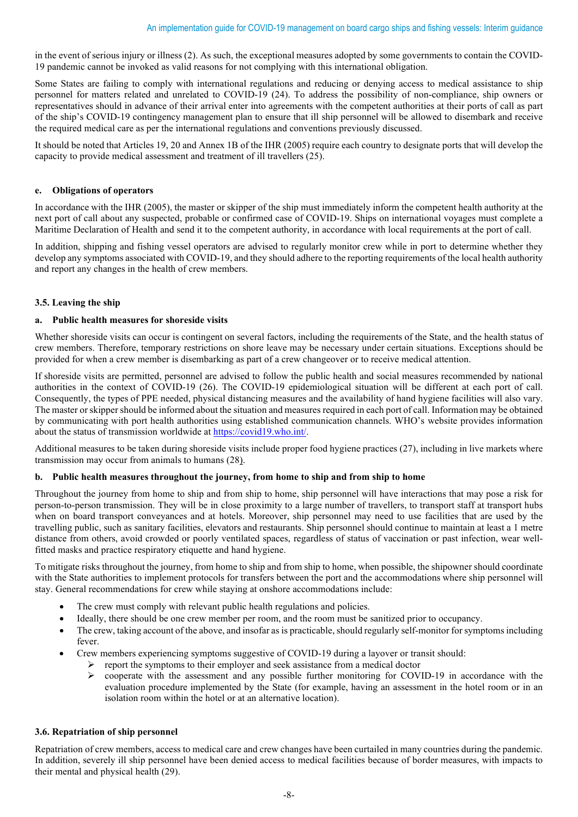in the event of serious injury or illness (2). As such, the exceptional measures adopted by some governments to contain the COVID-19 pandemic cannot be invoked as valid reasons for not complying with this international obligation.

Some States are failing to comply with international regulations and reducing or denying access to medical assistance to ship personnel for matters related and unrelated to COVID-19 (24). To address the possibility of non-compliance, ship owners or representatives should in advance of their arrival enter into agreements with the competent authorities at their ports of call as part of the ship's COVID-19 contingency management plan to ensure that ill ship personnel will be allowed to disembark and receive the required medical care as per the international regulations and conventions previously discussed.

It should be noted that Articles 19, 20 and Annex 1B of the IHR (2005) require each country to designate ports that will develop the capacity to provide medical assessment and treatment of ill travellers (25).

# **e. Obligations of operators**

In accordance with the IHR (2005), the master or skipper of the ship must immediately inform the competent health authority at the next port of call about any suspected, probable or confirmed case of COVID-19. Ships on international voyages must complete a Maritime Declaration of Health and send it to the competent authority, in accordance with local requirements at the port of call.

In addition, shipping and fishing vessel operators are advised to regularly monitor crew while in port to determine whether they develop any symptoms associated with COVID-19, and they should adhere to the reporting requirements of the local health authority and report any changes in the health of crew members.

# **3.5. Leaving the ship**

# **a. Public health measures for shoreside visits**

Whether shoreside visits can occur is contingent on several factors, including the requirements of the State, and the health status of crew members. Therefore, temporary restrictions on shore leave may be necessary under certain situations. Exceptions should be provided for when a crew member is disembarking as part of a crew changeover or to receive medical attention.

If shoreside visits are permitted, personnel are advised to follow the public health and social measures recommended by national authorities in the context of COVID-19 (26). The COVID-19 epidemiological situation will be different at each port of call. Consequently, the types of PPE needed, physical distancing measures and the availability of hand hygiene facilities will also vary. The master or skipper should be informed about the situation and measures required in each port of call. Information may be obtained by communicating with port health authorities using established communication channels. WHO's website provides information about the status of transmission worldwide a[t https://covid19.who.int/.](about:blank)

Additional measures to be taken during shoreside visits include proper food hygiene practices (27), including in live markets where transmission may occur from animals to humans [\(28\).](about:blank)

# **b. Public health measures throughout the journey, from home to ship and from ship to home**

Throughout the journey from home to ship and from ship to home, ship personnel will have interactions that may pose a risk for person-to-person transmission. They will be in close proximity to a large number of travellers, to transport staff at transport hubs when on board transport conveyances and at hotels. Moreover, ship personnel may need to use facilities that are used by the travelling public, such as sanitary facilities, elevators and restaurants. Ship personnel should continue to maintain at least a 1 metre distance from others, avoid crowded or poorly ventilated spaces, regardless of status of vaccination or past infection, wear wellfitted masks and practice respiratory etiquette and hand hygiene.

To mitigate risks throughout the journey, from home to ship and from ship to home, when possible, the shipowner should coordinate with the State authorities to implement protocols for transfers between the port and the accommodations where ship personnel will stay. General recommendations for crew while staying at onshore accommodations include:

- The crew must comply with relevant public health regulations and policies.
- Ideally, there should be one crew member per room, and the room must be sanitized prior to occupancy.
- The crew, taking account of the above, and insofar as is practicable, should regularly self-monitor for symptoms including fever.
- Crew members experiencing symptoms suggestive of COVID-19 during a layover or transit should:
	- report the symptoms to their employer and seek assistance from a medical doctor  $\geq$  cooperate with the assessment and any possible further monitoring for COV
	- cooperate with the assessment and any possible further monitoring for COVID-19 in accordance with the evaluation procedure implemented by the State (for example, having an assessment in the hotel room or in an isolation room within the hotel or at an alternative location).

# **3.6. Repatriation of ship personnel**

Repatriation of crew members, access to medical care and crew changes have been curtailed in many countries during the pandemic. In addition, severely ill ship personnel have been denied access to medical facilities because of border measures, with impacts to their mental and physical health (29).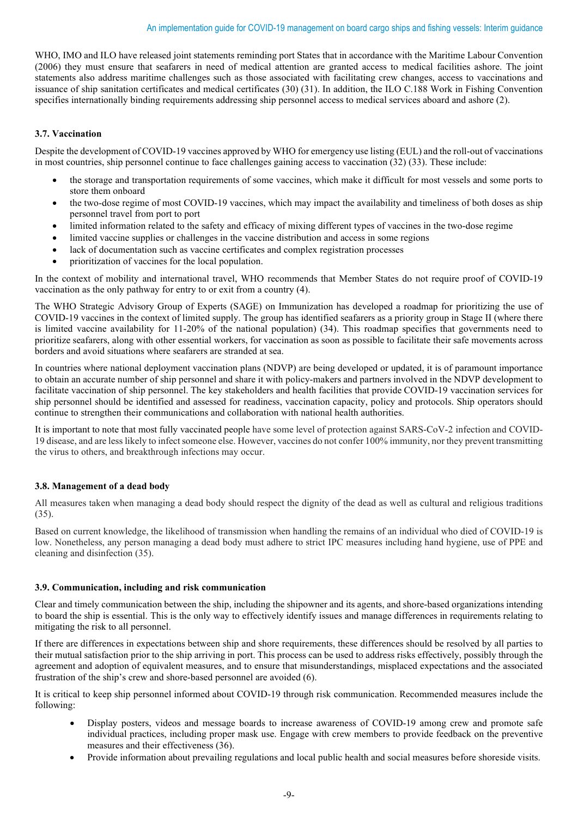WHO, IMO and ILO have released joint statements reminding port States that in accordance with the Maritime Labour Convention (2006) they must ensure that seafarers in need of medical attention are granted access to medical facilities ashore. The joint statements also address maritime challenges such as those associated with facilitating crew changes, access to vaccinations and issuance of ship sanitation certificates and medical certificates (30) (31). In addition, the ILO C.188 Work in Fishing Convention specifies internationally binding requirements addressing ship personnel access to medical services aboard and ashore (2).

# **3.7. Vaccination**

Despite the development of COVID-19 vaccines approved by WHO for emergency use listing (EUL) and the roll-out of vaccinations in most countries, ship personnel continue to face challenges gaining access to vaccination (32) (33). These include:

- the storage and transportation requirements of some vaccines, which make it difficult for most vessels and some ports to store them onboard
- the two-dose regime of most COVID-19 vaccines, which may impact the availability and timeliness of both doses as ship personnel travel from port to port
- limited information related to the safety and efficacy of mixing different types of vaccines in the two-dose regime
- limited vaccine supplies or challenges in the vaccine distribution and access in some regions
- lack of documentation such as vaccine certificates and complex registration processes
- prioritization of vaccines for the local population.

In the context of mobility and international travel, WHO recommends that Member States do not require proof of COVID-19 vaccination as the only pathway for entry to or exit from a country (4).

The WHO Strategic Advisory Group of Experts (SAGE) on Immunization has developed a roadmap for prioritizing the use of COVID-19 vaccines in the context of limited supply. The group has identified seafarers as a priority group in Stage II (where there is limited vaccine availability for 11-20% of the national population) (34). This roadmap specifies that governments need to prioritize seafarers, along with other essential workers, for vaccination as soon as possible to facilitate their safe movements across borders and avoid situations where seafarers are stranded at sea.

In countries where national deployment vaccination plans (NDVP) are being developed or updated, it is of paramount importance to obtain an accurate number of ship personnel and share it with policy-makers and partners involved in the NDVP development to facilitate vaccination of ship personnel. The key stakeholders and health facilities that provide COVID-19 vaccination services for ship personnel should be identified and assessed for readiness, vaccination capacity, policy and protocols. Ship operators should continue to strengthen their communications and collaboration with national health authorities.

It is important to note that most fully vaccinated people have some level of protection against SARS-CoV-2 infection and COVID-19 disease, and are less likely to infect someone else. However, vaccines do not confer 100% immunity, nor they prevent transmitting the virus to others, and breakthrough infections may occur.

# **3.8. Management of a dead body**

All measures taken when managing a dead body should respect the dignity of the dead as well as cultural and religious traditions (35).

Based on current knowledge, the likelihood of transmission when handling the remains of an individual who died of COVID-19 is low. Nonetheless, any person managing a dead body must adhere to strict IPC measures including hand hygiene, use of PPE and cleaning and disinfection (35).

# **3.9. Communication, including and risk communication**

Clear and timely communication between the ship, including the shipowner and its agents, and shore-based organizations intending to board the ship is essential. This is the only way to effectively identify issues and manage differences in requirements relating to mitigating the risk to all personnel.

If there are differences in expectations between ship and shore requirements, these differences should be resolved by all parties to their mutual satisfaction prior to the ship arriving in port. This process can be used to address risks effectively, possibly through the agreement and adoption of equivalent measures, and to ensure that misunderstandings, misplaced expectations and the associated frustration of the ship's crew and shore-based personnel are avoided (6).

It is critical to keep ship personnel informed about COVID-19 through risk communication. Recommended measures include the following:

- Display posters, videos and message boards to increase awareness of COVID-19 among crew and promote safe individual practices, including proper mask use. Engage with crew members to provide feedback on the preventive measures and their effectiveness (36).
- Provide information about prevailing regulations and local public health and social measures before shoreside visits.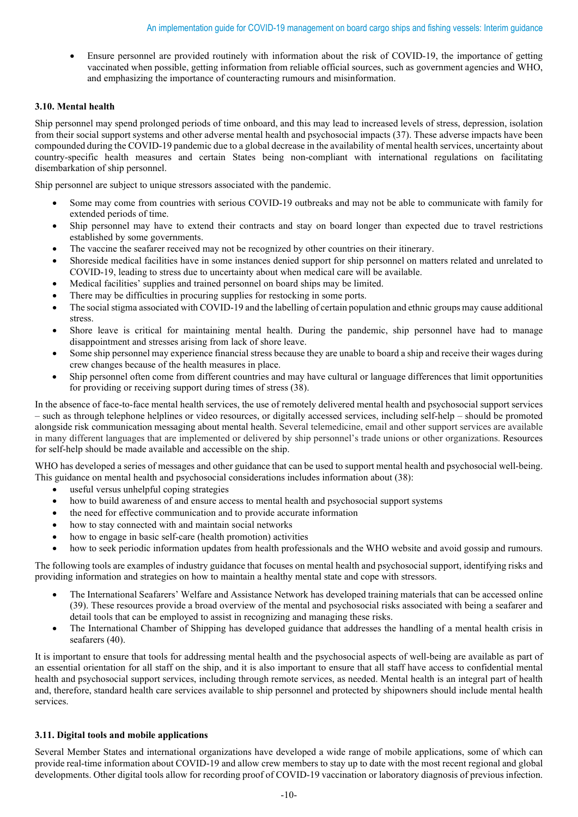• Ensure personnel are provided routinely with information about the risk of COVID-19, the importance of getting vaccinated when possible, getting information from reliable official sources, such as government agencies and WHO, and emphasizing the importance of counteracting rumours and misinformation.

# **3.10. Mental health**

Ship personnel may spend prolonged periods of time onboard, and this may lead to increased levels of stress, depression, isolation from their social support systems and other adverse mental health and psychosocial impacts (37). These adverse impacts have been compounded during the COVID-19 pandemic due to a global decrease in the availability of mental health services, uncertainty about country-specific health measures and certain States being non-compliant with international regulations on facilitating disembarkation of ship personnel.

Ship personnel are subject to unique stressors associated with the pandemic.

- Some may come from countries with serious COVID-19 outbreaks and may not be able to communicate with family for extended periods of time.
- Ship personnel may have to extend their contracts and stay on board longer than expected due to travel restrictions established by some governments.
- The vaccine the seafarer received may not be recognized by other countries on their itinerary.
- Shoreside medical facilities have in some instances denied support for ship personnel on matters related and unrelated to COVID-19, leading to stress due to uncertainty about when medical care will be available.
- Medical facilities' supplies and trained personnel on board ships may be limited.
- There may be difficulties in procuring supplies for restocking in some ports.
- The social stigma associated with COVID-19 and the labelling of certain population and ethnic groups may cause additional stress.
- Shore leave is critical for maintaining mental health. During the pandemic, ship personnel have had to manage disappointment and stresses arising from lack of shore leave.
- Some ship personnel may experience financial stress because they are unable to board a ship and receive their wages during crew changes because of the health measures in place.
- Ship personnel often come from different countries and may have cultural or language differences that limit opportunities for providing or receiving support during times of stress (38).

In the absence of face-to-face mental health services, the use of remotely delivered mental health and psychosocial support services – such as through telephone helplines or video resources, or digitally accessed services, including self-help – should be promoted alongside risk communication messaging about mental health. Several telemedicine, email and other support services are available in many different languages that are implemented or delivered by ship personnel's trade unions or other organizations. Resources for self-help should be made available and accessible on the ship.

WHO has developed a series of messages and other guidance that can be used to support mental health and psychosocial well-being. This guidance on mental health and psychosocial considerations includes information about (38):

- useful versus unhelpful coping strategies
- how to build awareness of and ensure access to mental health and psychosocial support systems
- the need for effective communication and to provide accurate information
- how to stay connected with and maintain social networks
- how to engage in basic self-care (health promotion) activities
- how to seek periodic information updates from health professionals and the WHO website and avoid gossip and rumours.

The following tools are examples of industry guidance that focuses on mental health and psychosocial support, identifying risks and providing information and strategies on how to maintain a healthy mental state and cope with stressors.

- The International Seafarers' Welfare and Assistance Network has developed training materials that can be accessed online (39). These resources provide a broad overview of the mental and psychosocial risks associated with being a seafarer and detail tools that can be employed to assist in recognizing and managing these risks.
- The International Chamber of Shipping has developed guidance that addresses the handling of a mental health crisis in seafarers (40).

It is important to ensure that tools for addressing mental health and the psychosocial aspects of well-being are available as part of an essential orientation for all staff on the ship, and it is also important to ensure that all staff have access to confidential mental health and psychosocial support services, including through remote services, as needed. Mental health is an integral part of health and, therefore, standard health care services available to ship personnel and protected by shipowners should include mental health services.

#### **3.11. Digital tools and mobile applications**

Several Member States and international organizations have developed a wide range of mobile applications, some of which can provide real-time information about COVID-19 and allow crew members to stay up to date with the most recent regional and global developments. Other digital tools allow for recording proof of COVID-19 vaccination or laboratory diagnosis of previous infection.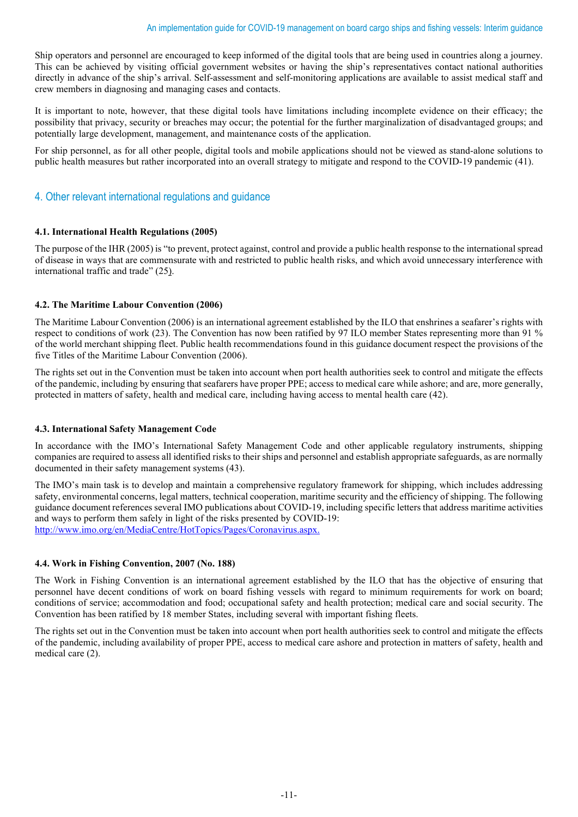Ship operators and personnel are encouraged to keep informed of the digital tools that are being used in countries along a journey. This can be achieved by visiting official government websites or having the ship's representatives contact national authorities directly in advance of the ship's arrival. Self-assessment and self-monitoring applications are available to assist medical staff and crew members in diagnosing and managing cases and contacts.

It is important to note, however, that these digital tools have limitations including incomplete evidence on their efficacy; the possibility that privacy, security or breaches may occur; the potential for the further marginalization of disadvantaged groups; and potentially large development, management, and maintenance costs of the application.

For ship personnel, as for all other people, digital tools and mobile applications should not be viewed as stand-alone solutions to public health measures but rather incorporated into an overall strategy to mitigate and respond to the COVID-19 pandemic (41).

# 4. Other relevant international regulations and guidance

# **4.1. International Health Regulations (2005)**

The purpose of the IHR (2005) is "to prevent, protect against, control and provide a public health response to the international spread of disease in ways that are commensurate with and restricted to public health risks, and which avoid unnecessary interference with international traffic and trade" [\(25\).](about:blank)

# **4.2. The Maritime Labour Convention (2006)**

The Maritime Labour Convention (2006) is an international agreement established by the ILO that enshrines a seafarer's rights with respect to conditions of work (23). The Convention has now been ratified by 97 ILO member States representing more than 91 % of the world merchant shipping fleet. Public health recommendations found in this guidance document respect the provisions of the five Titles of the Maritime Labour Convention (2006).

The rights set out in the Convention must be taken into account when port health authorities seek to control and mitigate the effects of the pandemic, including by ensuring that seafarers have proper PPE; access to medical care while ashore; and are, more generally, protected in matters of safety, health and medical care, including having access to mental health care (42).

# **4.3. International Safety Management Code**

In accordance with the IMO's International Safety Management Code and other applicable regulatory instruments, shipping companies are required to assess all identified risks to their ships and personnel and establish appropriate safeguards, as are normally documented in their safety management systems (43).

The IMO's main task is to develop and maintain a comprehensive regulatory framework for shipping, which includes addressing safety, environmental concerns, legal matters, technical cooperation, maritime security and the efficiency of shipping. The following guidance document references several IMO publications about COVID-19, including specific letters that address maritime activities and ways to perform them safely in light of the risks presented by COVID-19: [http://www.imo.org/en/MediaCentre/HotTopics/Pages/Coronavirus.aspx.](about:blank)

# **4.4. Work in Fishing Convention, 2007 (No. 188)**

The Work in Fishing Convention is an international agreement established by the ILO that has the objective of ensuring that personnel have decent conditions of work on board fishing vessels with regard to minimum requirements for work on board; conditions of service; accommodation and food; occupational safety and health protection; medical care and social security. The Convention has been ratified by 18 member States, including several with important fishing fleets.

The rights set out in the Convention must be taken into account when port health authorities seek to control and mitigate the effects of the pandemic, including availability of proper PPE, access to medical care ashore and protection in matters of safety, health and medical care (2).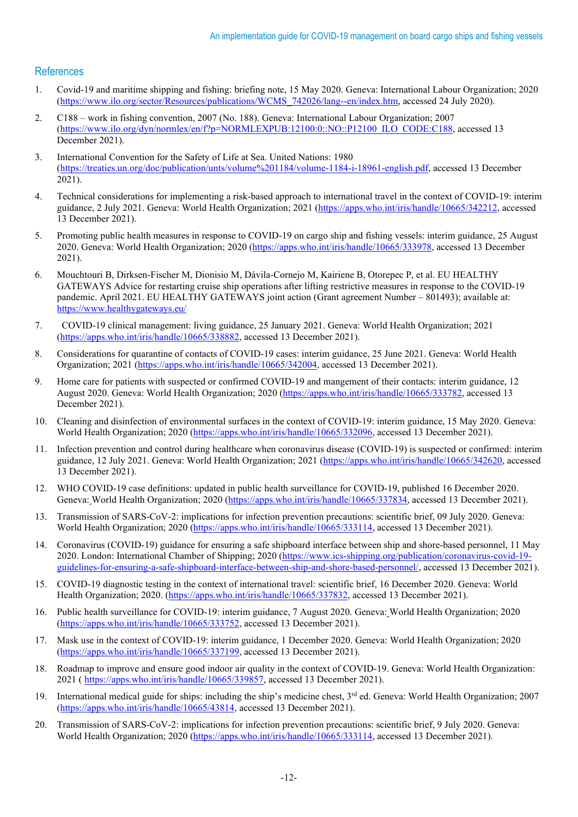# References

- 1. Covid-19 and maritime shipping and fishing: briefing note, 15 May 2020. Geneva: International Labour Organization; 2020 [\(https://www.ilo.org/sector/Resources/publications/WCMS\\_742026/lang--en/index.htm,](about:blank) accessed 24 July 2020).
- 2. C188 work in fishing convention, 2007 (No. 188). Geneva: International Labour Organization; 2007 (https://www.ilo.org/dyn/normlex/en/f?p=NORMLEXPUB:12100:0::NO::P12100\_ILO\_CODE:C188, accessed 13 December 2021).
- 3. International Convention for the Safety of Life at Sea. United Nations: 1980 (https://treaties.un.org/doc/publication/unts/volume%201184/volume-1184-i-18961-english.pdf, accessed 13 December 2021).
- 4. Technical considerations for implementing a risk-based approach to international travel in the context of COVID-19: interim guidance, 2 July 2021. Geneva: World Health Organization; 2021 (https://apps.who.int/iris/handle/10665/342212, accessed 13 December 2021).
- 5. Promoting public health measures in response to COVID-19 on cargo ship and fishing vessels: interim guidance, 25 August 2020. Geneva: World Health Organization; 2020 (https://apps.who.int/iris/handle/10665/333978, accessed 13 December 2021).
- 6. Mouchtouri B, Dirksen-Fischer M, Dionisio M, Dávila-Cornejo M, Kairiene B, Otorepec P, et al. EU HEALTHY GATEWAYS Advice for restarting cruise ship operations after lifting restrictive measures in response to the COVID-19 pandemic. April 2021. EU HEALTHY GATEWAYS joint action (Grant agreement Number – 801493); available at: [https://www.healthygateways.eu/](about:blank)
- 7. COVID-19 clinical management: living guidance, 25 January 2021. Geneva: World Health Organization; 2021 (https://apps.who.int/iris/handle/10665/338882, accessed 13 December 2021).
- 8. Considerations for quarantine of contacts of COVID-19 cases: interim guidance, 25 June 2021. Geneva: World Health Organization; 2021 (https://apps.who.int/iris/handle/10665/342004, accessed 13 December 2021).
- 9. Home care for patients with suspected or confirmed COVID-19 and mangement of their contacts: interim guidance, 12 August 2020. Geneva: World Health Organization; 2020 (https://apps.who.int/iris/handle/10665/333782, accessed 13 December 2021).
- 10. Cleaning and disinfection of environmental surfaces in the context of COVID-19: interim guidance, 15 May 2020. Geneva: World Health Organization; 2020 (https://apps.who.int/iris/handle/10665/332096, accessed 13 December 2021).
- 11. Infection prevention and control during healthcare when coronavirus disease (COVID-19) is suspected or confirmed: interim guidance, 12 July 2021. Geneva: World Health Organization; 2021 (https://apps.who.int/iris/handle/10665/342620, accessed 13 December 2021).
- 12. WHO COVID-19 case definitions: updated in public health surveillance for COVID-19, published 16 December 2020. Geneva: World Health Organization; 2020 (https://apps.who.int/iris/handle/10665/337834, accessed 13 December 2021).
- 13. Transmission of SARS-CoV-2: implications for infection prevention precautions: scientific brief, 09 July 2020. Geneva: World Health Organization; 2020 (https://apps.who.int/iris/handle/10665/333114, accessed 13 December 2021).
- 14. Coronavirus (COVID-19) guidance for ensuring a safe shipboard interface between ship and shore-based personnel, 11 May 2020. London: International Chamber of Shipping; 2020 [\(https://www.ics-shipping.org/publication/coronavirus-covid-19](about:blank) [guidelines-for-ensuring-a-safe-shipboard-interface-between-ship-and-shore-based-personnel/,](about:blank) accessed 13 December 2021).
- 15. COVID-19 diagnostic testing in the context of international travel: scientific brief, 16 December 2020. Geneva: World Health Organization; 2020. (https://apps.who.int/iris/handle/10665/337832, accessed 13 December 2021).
- 16. Public health surveillance for COVID-19: interim guidance, 7 August 2020. Geneva: World Health Organization; 2020 (https://apps.who.int/iris/handle/10665/333752, accessed 13 December 2021).
- 17. Mask use in the context of COVID-19: interim guidance, 1 December 2020. Geneva: World Health Organization; 2020 (https://apps.who.int/iris/handle/10665/337199, accessed 13 December 2021).
- 18. Roadmap to improve and ensure good indoor air quality in the context of COVID-19. Geneva: World Health Organization: 2021 ( https://apps.who.int/iris/handle/10665/339857, accessed 13 December 2021).
- 19. International medical guide for ships: including the ship's medicine chest,  $3^{rd}$  ed. Geneva: World Health Organization; 2007 (https://apps.who.int/iris/handle/10665/43814, accessed 13 December 2021).
- 20. Transmission of SARS-CoV-2: implications for infection prevention precautions: scientific brief, 9 July 2020. Geneva: World Health Organization; 2020 (https://apps.who.int/iris/handle/10665/333114, accessed 13 December 2021).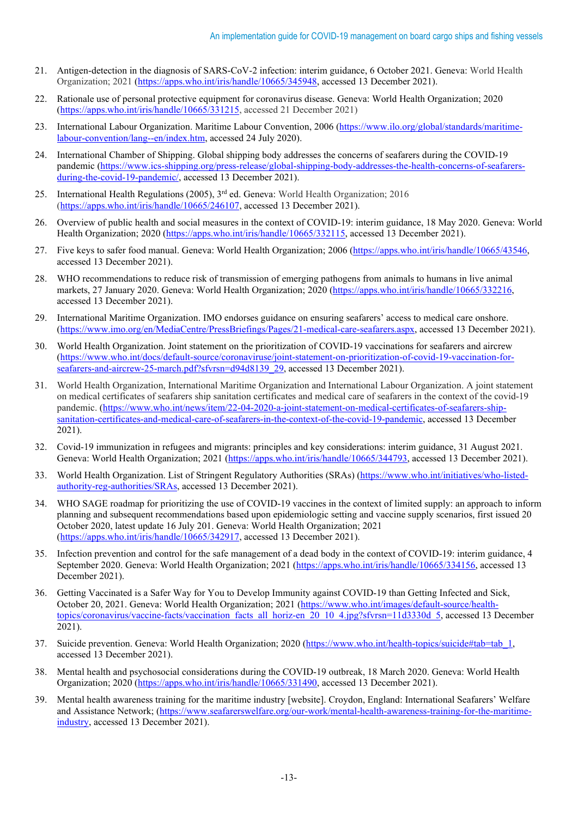- 21. Antigen-detection in the diagnosis of SARS-CoV-2 infection: interim guidance, 6 October 2021. Geneva: World Health Organization; 2021 (https://apps.who.int/iris/handle/10665/345948, accessed 13 December 2021).
- 22. Rationale use of personal protective equipment for coronavirus disease. Geneva: World Health Organization; 2020 [\(https://apps.who.int/iris/handle/10665/331215,](https://apps.who.int/iris/handle/10665/331215) accessed 21 December 2021)
- 23. International Labour Organization. Maritime Labour Convention, 2006 [\(https://www.ilo.org/global/standards/maritime](about:blank)[labour-convention/lang--en/index.htm,](about:blank) accessed 24 July 2020).
- 24. International Chamber of Shipping. Global shipping body addresses the concerns of seafarers during the COVID-19 pandemic (https://www.ics-shipping.org/press-release/global-shipping-body-addresses-the-health-concerns-of-seafarersduring-the-covid-19-pandemic/, accessed 13 December 2021).
- 25. International Health Regulations (2005), 3<sup>rd</sup> ed. Geneva: World Health Organization; 2016 (https://apps.who.int/iris/handle/10665/246107, accessed 13 December 2021).
- 26. Overview of public health and social measures in the context of COVID-19: interim guidance, 18 May 2020. Geneva: World Health Organization; 2020 (https://apps.who.int/iris/handle/10665/332115, accessed 13 December 2021).
- 27. Five keys to safer food manual. Geneva: World Health Organization; 2006 (https://apps.who.int/iris/handle/10665/43546, accessed 13 December 2021).
- 28. WHO recommendations to reduce risk of transmission of emerging pathogens from animals to humans in live animal markets, 27 January 2020. Geneva: World Health Organization; 2020 (https://apps.who.int/iris/handle/10665/332216, accessed 13 December 2021).
- 29. International Maritime Organization. IMO endorses guidance on ensuring seafarers' access to medical care onshore. (https://www.imo.org/en/MediaCentre/PressBriefings/Pages/21-medical-care-seafarers.aspx, accessed 13 December 2021).
- 30. World Health Organization. Joint statement on the prioritization of COVID-19 vaccinations for seafarers and aircrew (https://www.who.int/docs/default-source/coronaviruse/joint-statement-on-prioritization-of-covid-19-vaccination-forseafarers-and-aircrew-25-march.pdf?sfvrsn=d94d8139\_29, accessed 13 December 2021).
- 31. World Health Organization, International Maritime Organization and International Labour Organization. A joint statement on medical certificates of seafarers ship sanitation certificates and medical care of seafarers in the context of the covid-19 pandemic. (https://www.who.int/news/item/22-04-2020-a-joint-statement-on-medical-certificates-of-seafarers-shipsanitation-certificates-and-medical-care-of-seafarers-in-the-context-of-the-covid-19-pandemic, accessed 13 December 2021).
- 32. Covid-19 immunization in refugees and migrants: principles and key considerations: interim guidance, 31 August 2021. Geneva: World Health Organization; 2021 (https://apps.who.int/iris/handle/10665/344793, accessed 13 December 2021).
- 33. World Health Organization. List of Stringent Regulatory Authorities (SRAs) (https://www.who.int/initiatives/who-listedauthority-reg-authorities/SRAs, accessed 13 December 2021).
- 34. WHO SAGE roadmap for prioritizing the use of COVID-19 vaccines in the context of limited supply: an approach to inform planning and subsequent recommendations based upon epidemiologic setting and vaccine supply scenarios, first issued 20 October 2020, latest update 16 July 201. Geneva: World Health Organization; 2021 (https://apps.who.int/iris/handle/10665/342917, accessed 13 December 2021).
- 35. Infection prevention and control for the safe management of a dead body in the context of COVID-19: interim guidance, 4 September 2020. Geneva: World Health Organization; 2021 (https://apps.who.int/iris/handle/10665/334156, accessed 13 December 2021).
- 36. Getting Vaccinated is a Safer Way for You to Develop Immunity against COVID-19 than Getting Infected and Sick, October 20, 2021. Geneva: World Health Organization; 2021 (https://www.who.int/images/default-source/healthtopics/coronavirus/vaccine-facts/vaccination\_facts\_all\_horiz-en\_20\_10\_4.jpg?sfvrsn=11d3330d\_5, accessed 13 December 2021).
- 37. Suicide prevention. Geneva: World Health Organization; 2020 [\(https://www.who.int/health-topics/suicide#tab=tab\\_1,](about:blank#tab=tab_1) accessed 13 December 2021).
- 38. Mental health and psychosocial considerations during the COVID-19 outbreak, 18 March 2020. Geneva: World Health Organization; 2020 (https://apps.who.int/iris/handle/10665/331490, accessed 13 December 2021).
- 39. Mental health awareness training for the maritime industry [website]. Croydon, England: International Seafarers' Welfare and Assistance Network; [\(https://www.seafarerswelfare.org/our-work/mental-health-awareness-training-for-the-maritime](about:blank)[industry,](about:blank) accessed 13 December 2021).